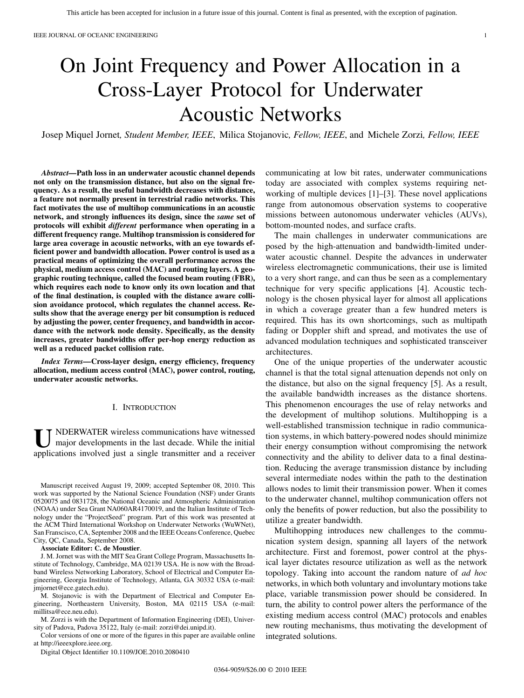# On Joint Frequency and Power Allocation in a Cross-Layer Protocol for Underwater Acoustic Networks

Josep Miquel Jornet*, Student Member, IEEE*, Milica Stojanovic*, Fellow, IEEE*, and Michele Zorzi*, Fellow, IEEE*

*Abstract—***Path loss in an underwater acoustic channel depends not only on the transmission distance, but also on the signal frequency. As a result, the useful bandwidth decreases with distance, a feature not normally present in terrestrial radio networks. This fact motivates the use of multihop communications in an acoustic network, and strongly influences its design, since the** *same* **set of protocols will exhibit** *different* **performance when operating in a different frequency range. Multihop transmission is considered for large area coverage in acoustic networks, with an eye towards efficient power and bandwidth allocation. Power control is used as a practical means of optimizing the overall performance across the physical, medium access control (MAC) and routing layers. A geographic routing technique, called the focused beam routing (FBR), which requires each node to know only its own location and that of the final destination, is coupled with the distance aware collision avoidance protocol, which regulates the channel access. Results show that the average energy per bit consumption is reduced by adjusting the power, center frequency, and bandwidth in accordance with the network node density. Specifically, as the density increases, greater bandwidths offer per-hop energy reduction as well as a reduced packet collision rate.**

*Index Terms—***Cross-layer design, energy efficiency, frequency allocation, medium access control (MAC), power control, routing, underwater acoustic networks.**

# I. INTRODUCTION

**U**NDERWATER wireless communications have witnessed major developments in the last decade. While the initial applications involved just a single transmitter and a receiver

Manuscript received August 19, 2009; accepted September 08, 2010. This work was supported by the National Science Foundation (NSF) under Grants 0520075 and 0831728, the National Oceanic and Atmospheric Administration (NOAA) under Sea Grant NA060AR4170019, and the Italian Institute of Technology under the "ProjectSeed" program. Part of this work was presented at the ACM Third International Workshop on Underwater Networks (WuWNet), San Franscisco, CA, September 2008 and the IEEE Oceans Conference, Quebec City, QC, Canada, September 2008.

#### **Associate Editor: C. de Moustier**.

J. M. Jornet was with the MIT Sea Grant College Program, Massachusetts Institute of Technology, Cambridge, MA 02139 USA. He is now with the Broadband Wireless Networking Laboratory, School of Electrical and Computer Engineering, Georgia Institute of Technology, Atlanta, GA 30332 USA (e-mail: jmjornet@ece.gatech.edu).

M. Stojanovic is with the Department of Electrical and Computer Engineering, Northeastern University, Boston, MA 02115 USA (e-mail: millitsa@ece.neu.edu).

M. Zorzi is with the Department of Information Engineering (DEI), University of Padova, Padova 35122, Italy (e-mail: zorzi@dei.unipd.it).

Color versions of one or more of the figures in this paper are available online at http://ieeexplore.ieee.org.

Digital Object Identifier 10.1109/JOE.2010.2080410

communicating at low bit rates, underwater communications today are associated with complex systems requiring networking of multiple devices [1]–[3]. These novel applications range from autonomous observation systems to cooperative missions between autonomous underwater vehicles (AUVs), bottom-mounted nodes, and surface crafts.

The main challenges in underwater communications are posed by the high-attenuation and bandwidth-limited underwater acoustic channel. Despite the advances in underwater wireless electromagnetic communications, their use is limited to a very short range, and can thus be seen as a complementary technique for very specific applications [4]. Acoustic technology is the chosen physical layer for almost all applications in which a coverage greater than a few hundred meters is required. This has its own shortcomings, such as multipath fading or Doppler shift and spread, and motivates the use of advanced modulation techniques and sophisticated transceiver architectures.

One of the unique properties of the underwater acoustic channel is that the total signal attenuation depends not only on the distance, but also on the signal frequency [5]. As a result, the available bandwidth increases as the distance shortens. This phenomenon encourages the use of relay networks and the development of multihop solutions. Multihopping is a well-established transmission technique in radio communication systems, in which battery-powered nodes should minimize their energy consumption without compromising the network connectivity and the ability to deliver data to a final destination. Reducing the average transmission distance by including several intermediate nodes within the path to the destination allows nodes to limit their transmission power. When it comes to the underwater channel, multihop communication offers not only the benefits of power reduction, but also the possibility to utilize a greater bandwidth.

Multihopping introduces new challenges to the communication system design, spanning all layers of the network architecture. First and foremost, power control at the physical layer dictates resource utilization as well as the network topology. Taking into account the random nature of *ad hoc* networks, in which both voluntary and involuntary motions take place, variable transmission power should be considered. In turn, the ability to control power alters the performance of the existing medium access control (MAC) protocols and enables new routing mechanisms, thus motivating the development of integrated solutions.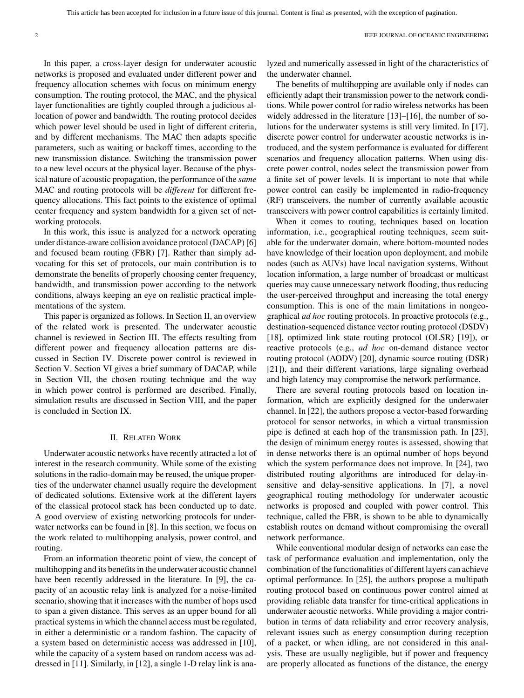In this paper, a cross-layer design for underwater acoustic networks is proposed and evaluated under different power and frequency allocation schemes with focus on minimum energy consumption. The routing protocol, the MAC, and the physical layer functionalities are tightly coupled through a judicious allocation of power and bandwidth. The routing protocol decides which power level should be used in light of different criteria, and by different mechanisms. The MAC then adapts specific parameters, such as waiting or backoff times, according to the new transmission distance. Switching the transmission power to a new level occurs at the physical layer. Because of the physical nature of acoustic propagation, the performance of the *same* MAC and routing protocols will be *different* for different frequency allocations. This fact points to the existence of optimal center frequency and system bandwidth for a given set of networking protocols.

In this work, this issue is analyzed for a network operating under distance-aware collision avoidance protocol (DACAP) [6] and focused beam routing (FBR) [7]. Rather than simply advocating for this set of protocols, our main contribution is to demonstrate the benefits of properly choosing center frequency, bandwidth, and transmission power according to the network conditions, always keeping an eye on realistic practical implementations of the system.

This paper is organized as follows. In Section II, an overview of the related work is presented. The underwater acoustic channel is reviewed in Section III. The effects resulting from different power and frequency allocation patterns are discussed in Section IV. Discrete power control is reviewed in Section V. Section VI gives a brief summary of DACAP, while in Section VII, the chosen routing technique and the way in which power control is performed are described. Finally, simulation results are discussed in Section VIII, and the paper is concluded in Section IX.

## II. RELATED WORK

Underwater acoustic networks have recently attracted a lot of interest in the research community. While some of the existing solutions in the radio-domain may be reused, the unique properties of the underwater channel usually require the development of dedicated solutions. Extensive work at the different layers of the classical protocol stack has been conducted up to date. A good overview of existing networking protocols for underwater networks can be found in [8]. In this section, we focus on the work related to multihopping analysis, power control, and routing.

From an information theoretic point of view, the concept of multihopping and its benefits in the underwater acoustic channel have been recently addressed in the literature. In [9], the capacity of an acoustic relay link is analyzed for a noise-limited scenario, showing that it increases with the number of hops used to span a given distance. This serves as an upper bound for all practical systems in which the channel access must be regulated, in either a deterministic or a random fashion. The capacity of a system based on deterministic access was addressed in [10], while the capacity of a system based on random access was addressed in [11]. Similarly, in [12], a single 1-D relay link is analyzed and numerically assessed in light of the characteristics of the underwater channel.

The benefits of multihopping are available only if nodes can efficiently adapt their transmission power to the network conditions. While power control for radio wireless networks has been widely addressed in the literature [13]–[16], the number of solutions for the underwater systems is still very limited. In [17], discrete power control for underwater acoustic networks is introduced, and the system performance is evaluated for different scenarios and frequency allocation patterns. When using discrete power control, nodes select the transmission power from a finite set of power levels. It is important to note that while power control can easily be implemented in radio-frequency (RF) transceivers, the number of currently available acoustic transceivers with power control capabilities is certainly limited.

When it comes to routing, techniques based on location information, i.e., geographical routing techniques, seem suitable for the underwater domain, where bottom-mounted nodes have knowledge of their location upon deployment, and mobile nodes (such as AUVs) have local navigation systems. Without location information, a large number of broadcast or multicast queries may cause unnecessary network flooding, thus reducing the user-perceived throughput and increasing the total energy consumption. This is one of the main limitations in nongeographical *ad hoc* routing protocols. In proactive protocols (e.g., destination-sequenced distance vector routing protocol (DSDV) [18], optimized link state routing protocol (OLSR) [19]), or reactive protocols (e.g., *ad hoc* on-demand distance vector routing protocol (AODV) [20], dynamic source routing (DSR) [21]), and their different variations, large signaling overhead and high latency may compromise the network performance.

There are several routing protocols based on location information, which are explicitly designed for the underwater channel. In [22], the authors propose a vector-based forwarding protocol for sensor networks, in which a virtual transmission pipe is defined at each hop of the transmission path. In [23], the design of minimum energy routes is assessed, showing that in dense networks there is an optimal number of hops beyond which the system performance does not improve. In [24], two distributed routing algorithms are introduced for delay-insensitive and delay-sensitive applications. In [7], a novel geographical routing methodology for underwater acoustic networks is proposed and coupled with power control. This technique, called the FBR, is shown to be able to dynamically establish routes on demand without compromising the overall network performance.

While conventional modular design of networks can ease the task of performance evaluation and implementation, only the combination of the functionalities of different layers can achieve optimal performance. In [25], the authors propose a multipath routing protocol based on continuous power control aimed at providing reliable data transfer for time-critical applications in underwater acoustic networks. While providing a major contribution in terms of data reliability and error recovery analysis, relevant issues such as energy consumption during reception of a packet, or when idling, are not considered in this analysis. These are usually negligible, but if power and frequency are properly allocated as functions of the distance, the energy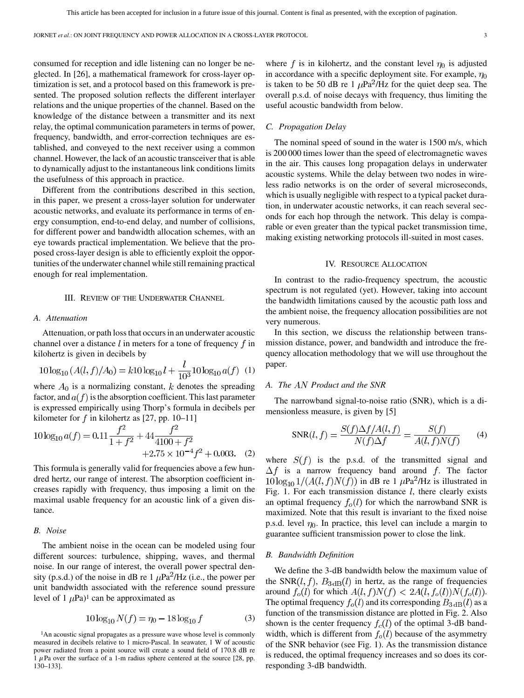consumed for reception and idle listening can no longer be neglected. In [26], a mathematical framework for cross-layer optimization is set, and a protocol based on this framework is presented. The proposed solution reflects the different interlayer relations and the unique properties of the channel. Based on the knowledge of the distance between a transmitter and its next relay, the optimal communication parameters in terms of power, frequency, bandwidth, and error-correction techniques are established, and conveyed to the next receiver using a common channel. However, the lack of an acoustic transceiver that is able to dynamically adjust to the instantaneous link conditions limits the usefulness of this approach in practice.

Different from the contributions described in this section, in this paper, we present a cross-layer solution for underwater acoustic networks, and evaluate its performance in terms of energy consumption, end-to-end delay, and number of collisions, for different power and bandwidth allocation schemes, with an eye towards practical implementation. We believe that the proposed cross-layer design is able to efficiently exploit the opportunities of the underwater channel while still remaining practical enough for real implementation.

#### III. REVIEW OF THE UNDERWATER CHANNEL

#### *A. Attenuation*

Attenuation, or path loss that occurs in an underwater acoustic channel over a distance  $l$  in meters for a tone of frequency  $f$  in kilohertz is given in decibels by

$$
10\log_{10}(A(l, f)/A_0) = k10\log_{10}l + \frac{l}{10^3}10\log_{10}a(f)
$$
 (1)

where  $A_0$  is a normalizing constant, k denotes the spreading factor, and  $a(f)$  is the absorption coefficient. This last parameter is expressed empirically using Thorp's formula in decibels per kilometer for  $f$  in kilohertz as [27, pp. 10–11]

$$
10\log_{10}a(f) = 0.11\frac{f^2}{1+f^2} + 44\frac{f^2}{4100+f^2} + 2.75 \times 10^{-4}f^2 + 0.003. \quad (2)
$$

This formula is generally valid for frequencies above a few hundred hertz, our range of interest. The absorption coefficient increases rapidly with frequency, thus imposing a limit on the maximal usable frequency for an acoustic link of a given distance.

#### *B. Noise*

The ambient noise in the ocean can be modeled using four different sources: turbulence, shipping, waves, and thermal noise. In our range of interest, the overall power spectral density (p.s.d.) of the noise in dB re 1  $\mu$ Pa<sup>2</sup>/Hz (i.e., the power per unit bandwidth associated with the reference sound pressure level of 1  $\mu$ Pa)<sup>1</sup> can be approximated as

$$
10\log_{10} N(f) = \eta_0 - 18\log_{10} f \tag{3}
$$

where f is in kilohertz, and the constant level  $\eta_0$  is adjusted in accordance with a specific deployment site. For example,  $\eta_0$ is taken to be 50 dB re 1  $\mu$ Pa<sup>2</sup>/Hz for the quiet deep sea. The overall p.s.d. of noise decays with frequency, thus limiting the useful acoustic bandwidth from below.

## *C. Propagation Delay*

The nominal speed of sound in the water is 1500 m/s, which is 200 000 times lower than the speed of electromagnetic waves in the air. This causes long propagation delays in underwater acoustic systems. While the delay between two nodes in wireless radio networks is on the order of several microseconds, which is usually negligible with respect to a typical packet duration, in underwater acoustic networks, it can reach several seconds for each hop through the network. This delay is comparable or even greater than the typical packet transmission time, making existing networking protocols ill-suited in most cases.

#### IV. RESOURCE ALLOCATION

In contrast to the radio-frequency spectrum, the acoustic spectrum is not regulated (yet). However, taking into account the bandwidth limitations caused by the acoustic path loss and the ambient noise, the frequency allocation possibilities are not very numerous.

In this section, we discuss the relationship between transmission distance, power, and bandwidth and introduce the frequency allocation methodology that we will use throughout the paper.

#### A. *The AN Product and the SNR*

The narrowband signal-to-noise ratio (SNR), which is a dimensionless measure, is given by [5]

$$
SNR(l, f) = \frac{S(f)\Delta f/A(l, f)}{N(f)\Delta f} = \frac{S(f)}{A(l, f)N(f)} \tag{4}
$$

where  $S(f)$  is the p.s.d. of the transmitted signal and  $\Delta f$  is a narrow frequency band around f. The factor  $10\log_{10} 1/(A(l, f)N(f))$  in dB re 1  $\mu$ Pa<sup>2</sup>/Hz is illustrated in Fig. 1. For each transmission distance  $l$ , there clearly exists an optimal frequency  $f<sub>o</sub>(l)$  for which the narrowband SNR is maximized. Note that this result is invariant to the fixed noise p.s.d. level  $\eta_0$ . In practice, this level can include a margin to guarantee sufficient transmission power to close the link.

#### *B. Bandwidth Definition*

We define the 3-dB bandwidth below the maximum value of the SNR( $l, f$ ),  $B_{3 dB}(l)$  in hertz, as the range of frequencies around  $f_o(l)$  for which  $A(l, f)N(f) < 2A(l, f_o(l))N(f_o(l))$ . The optimal frequency  $f_o(l)$  and its corresponding  $B_{3 dB}(l)$  as a function of the transmission distance are plotted in Fig. 2. Also shown is the center frequency  $f_c(l)$  of the optimal 3-dB bandwidth, which is different from  $f<sub>o</sub>(l)$  because of the asymmetry of the SNR behavior (see Fig. 1). As the transmission distance is reduced, the optimal frequency increases and so does its corresponding 3-dB bandwidth.

<sup>&</sup>lt;sup>1</sup>An acoustic signal propagates as a pressure wave whose level is commonly measured in decibels relative to 1 micro-Pascal. In seawater, 1 W of acoustic power radiated from a point source will create a sound field of 170.8 dB re 1  $\mu$ Pa over the surface of a 1-m radius sphere centered at the source [28, pp. 130–133].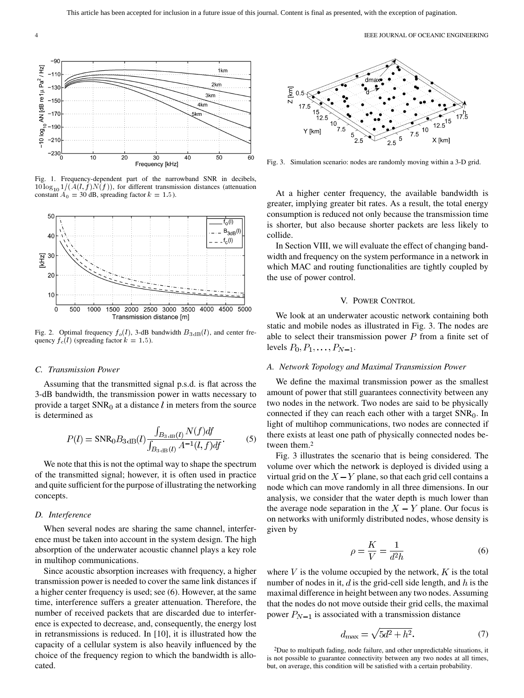

Fig. 1. Frequency-dependent part of the narrowband SNR in decibels,  $10 \log_{10} 1/(A(l, f)N(f))$ , for different transmission distances (attenuation constant  $A_0 = 30$  dB, spreading factor  $k = 1.5$ ).



Fig. 2. Optimal frequency  $f_o(l)$ , 3-dB bandwidth  $B_{3 dB}(l)$ , and center frequency  $f_c(l)$  (spreading factor  $k = 1.5$ ).

## *C. Transmission Power*

Assuming that the transmitted signal p.s.d. is flat across the 3-dB bandwidth, the transmission power in watts necessary to provide a target  $SNR_0$  at a distance l in meters from the source is determined as

$$
P(l) = \text{SNR}_0 B_{3\,\text{dB}}(l) \frac{\int_{B_{3\,\text{dB}}(l)} N(f) df}{\int_{B_{3\,\text{dB}}(l)} A^{-1}(l, f) df}.
$$
 (5)

We note that this is not the optimal way to shape the spectrum of the transmitted signal; however, it is often used in practice and quite sufficient for the purpose of illustrating the networking concepts.

# *D. Interference*

When several nodes are sharing the same channel, interference must be taken into account in the system design. The high absorption of the underwater acoustic channel plays a key role in multihop communications.

Since acoustic absorption increases with frequency, a higher transmission power is needed to cover the same link distances if a higher center frequency is used; see (6). However, at the same time, interference suffers a greater attenuation. Therefore, the number of received packets that are discarded due to interference is expected to decrease, and, consequently, the energy lost in retransmissions is reduced. In [10], it is illustrated how the capacity of a cellular system is also heavily influenced by the choice of the frequency region to which the bandwidth is allocated.



Fig. 3. Simulation scenario: nodes are randomly moving within a 3-D grid.

At a higher center frequency, the available bandwidth is greater, implying greater bit rates. As a result, the total energy consumption is reduced not only because the transmission time is shorter, but also because shorter packets are less likely to collide.

In Section VIII, we will evaluate the effect of changing bandwidth and frequency on the system performance in a network in which MAC and routing functionalities are tightly coupled by the use of power control.

# V. POWER CONTROL

We look at an underwater acoustic network containing both static and mobile nodes as illustrated in Fig. 3. The nodes are able to select their transmission power  $P$  from a finite set of levels  $P_0, P_1, \ldots, P_{N-1}$ .

# *A. Network Topology and Maximal Transmission Power*

We define the maximal transmission power as the smallest amount of power that still guarantees connectivity between any two nodes in the network. Two nodes are said to be physically connected if they can reach each other with a target  $SNR_0$ . In light of multihop communications, two nodes are connected if there exists at least one path of physically connected nodes between them.<sup>2</sup>

Fig. 3 illustrates the scenario that is being considered. The volume over which the network is deployed is divided using a virtual grid on the  $X - Y$  plane, so that each grid cell contains a node which can move randomly in all three dimensions. In our analysis, we consider that the water depth is much lower than the average node separation in the  $X - Y$  plane. Our focus is on networks with uniformly distributed nodes, whose density is given by

$$
\rho = \frac{K}{V} = \frac{1}{d^2 h} \tag{6}
$$

where  $V$  is the volume occupied by the network,  $K$  is the total number of nodes in it,  $d$  is the grid-cell side length, and  $h$  is the maximal difference in height between any two nodes. Assuming that the nodes do not move outside their grid cells, the maximal power  $P_{N-1}$  is associated with a transmission distance

$$
d_{\text{max}} = \sqrt{5d^2 + h^2}.\tag{7}
$$

2Due to multipath fading, node failure, and other unpredictable situations, it is not possible to guarantee connectivity between any two nodes at all times, but, on average, this condition will be satisfied with a certain probability.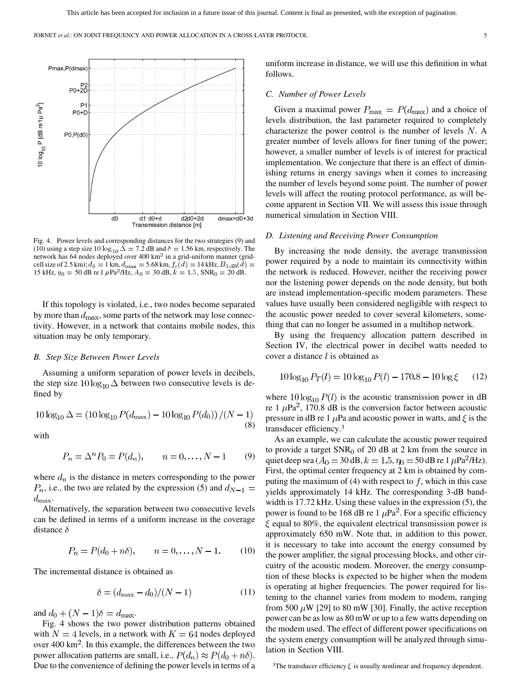JORNET *et al.*: ON JOINT FREQUENCY AND POWER ALLOCATION IN A CROSS-LAYER PROTOCOL 5



Fig. 4. Power levels and corresponding distances for the two strategies (9) and (10) using a step size  $10 \log_{10} \Delta = 7.2$  dB and  $\delta = 1.56$  km, respectively. The network has 64 nodes deployed over 400  $km<sup>2</sup>$  in a grid-uniform manner (gridcell size of 2.5 km);  $d_0 = 1$  km,  $d_{\text{max}} = 5.68$  km,  $f_c(d) = 14$  kHz,  $B_{3 \text{ dB}}(d) =$ 15 kHz,  $\eta_0 = 50$  dB re  $1 \mu \text{Pa}^2/\text{Hz}$ ,  $A_0 = 30$  dB,  $k = 1.5$ , SNR<sub>0</sub> = 20 dB.

If this topology is violated, i.e., two nodes become separated by more than  $d_{\text{max}}$ , some parts of the network may lose connectivity. However, in a network that contains mobile nodes, this situation may be only temporary.

#### *B. Step Size Between Power Levels*

Assuming a uniform separation of power levels in decibels, the step size  $10\log_{10} \Delta$  between two consecutive levels is defined by

$$
10\log_{10}\Delta = (10\log_{10}P(d_{\text{max}}) - 10\log_{10}P(d_0))/(N - 1)
$$
\n(8)

with

$$
P_n = \Delta^n P_0 = P(d_n), \qquad n = 0, \dots, N - 1 \tag{9}
$$

where  $d_n$  is the distance in meters corresponding to the power  $P_n$ , i.e., the two are related by the expression (5) and  $d_{N-1} =$  $d_{\max}$ .

Alternatively, the separation between two consecutive levels can be defined in terms of a uniform increase in the coverage distance  $\delta$ 

$$
P_n = P(d_0 + n\delta), \qquad n = 0, \dots, N - 1. \tag{10}
$$

The incremental distance is obtained as

$$
\delta = (d_{\text{max}} - d_0)/(N - 1) \tag{11}
$$

and  $d_0 + (N-1)\delta = d_{\text{max}}$ .

Fig. 4 shows the two power distribution patterns obtained with  $N = 4$  levels, in a network with  $K = 64$  nodes deployed over  $400 \text{ km}^2$ . In this example, the differences between the two power allocation patterns are small, i.e.,  $P(d_n) \approx P(d_0 + n\delta)$ . Due to the convenience of defining the power levels in terms of a uniform increase in distance, we will use this definition in what follows.

## *C. Number of Power Levels*

Given a maximal power  $P_{\text{max}} = P(d_{\text{max}})$  and a choice of levels distribution, the last parameter required to completely characterize the power control is the number of levels  $N$ . A greater number of levels allows for finer tuning of the power; however, a smaller number of levels is of interest for practical implementation. We conjecture that there is an effect of diminishing returns in energy savings when it comes to increasing the number of levels beyond some point. The number of power levels will affect the routing protocol performance, as will become apparent in Section VII. We will assess this issue through numerical simulation in Section VIII.

#### *D. Listening and Receiving Power Consumption*

By increasing the node density, the average transmission power required by a node to maintain its connectivity within the network is reduced. However, neither the receiving power nor the listening power depends on the node density, but both are instead implementation-specific modem parameters. These values have usually been considered negligible with respect to the acoustic power needed to cover several kilometers, something that can no longer be assumed in a multihop network.

By using the frequency allocation pattern described in Section IV, the electrical power in decibel watts needed to cover a distance  $l$  is obtained as

$$
10\log_{10} P_T(l) = 10\log_{10} P(l) - 170.8 - 10\log\xi \tag{12}
$$

where  $10 \log_{10} P(l)$  is the acoustic transmission power in dB re 1  $\mu$ Pa<sup>2</sup>, 170.8 dB is the conversion factor between acoustic pressure in dB re 1  $\mu$ Pa and acoustic power in watts, and  $\xi$  is the transducer efficiency.3

As an example, we can calculate the acoustic power required to provide a target  $SNR_0$  of 20 dB at 2 km from the source in quiet deep sea ( $A_0 = 30$  dB,  $k = 1.5$ ,  $\eta_0 = 50$  dB re 1  $\mu$ Pa<sup>2</sup>/Hz). First, the optimal center frequency at 2 km is obtained by computing the maximum of (4) with respect to  $f$ , which in this case yields approximately 14 kHz. The corresponding 3-dB bandwidth is 17.72 kHz. Using these values in the expression (5), the power is found to be 168 dB re 1  $\mu$ Pa<sup>2</sup>. For a specific efficiency  $\zeta$  equal to 80%, the equivalent electrical transmission power is approximately 650 mW. Note that, in addition to this power, it is necessary to take into account the energy consumed by the power amplifier, the signal processing blocks, and other circuitry of the acoustic modem. Moreover, the energy consumption of these blocks is expected to be higher when the modem is operating at higher frequencies. The power required for listening to the channel varies from modem to modem, ranging from 500  $\mu$ W [29] to 80 mW [30]. Finally, the active reception power can be as low as 80 mW or up to a few watts depending on the modem used. The effect of different power specifications on the system energy consumption will be analyzed through simulation in Section VIII.

<sup>3</sup>The transducer efficiency  $\xi$  is usually nonlinear and frequency dependent.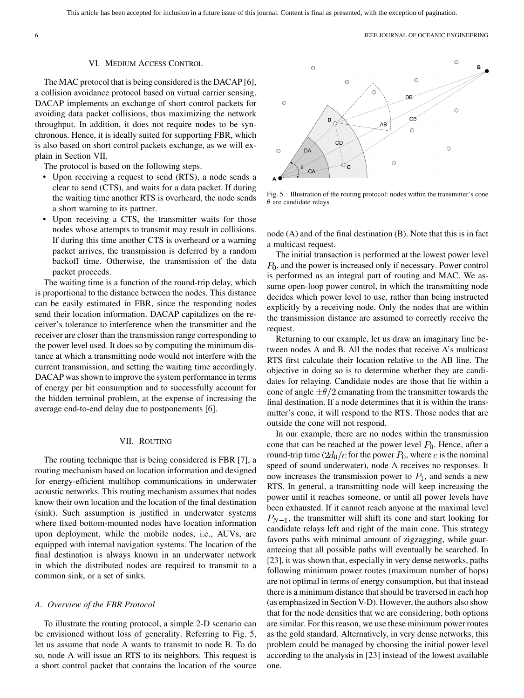# VI. MEDIUM ACCESS CONTROL

The MAC protocol that is being considered is the DACAP [6], a collision avoidance protocol based on virtual carrier sensing. DACAP implements an exchange of short control packets for avoiding data packet collisions, thus maximizing the network throughput. In addition, it does not require nodes to be synchronous. Hence, it is ideally suited for supporting FBR, which is also based on short control packets exchange, as we will explain in Section VII.

The protocol is based on the following steps.

- Upon receiving a request to send (RTS), a node sends a clear to send (CTS), and waits for a data packet. If during the waiting time another RTS is overheard, the node sends a short warning to its partner.
- Upon receiving a CTS, the transmitter waits for those nodes whose attempts to transmit may result in collisions. If during this time another CTS is overheard or a warning packet arrives, the transmission is deferred by a random backoff time. Otherwise, the transmission of the data packet proceeds.

The waiting time is a function of the round-trip delay, which is proportional to the distance between the nodes. This distance can be easily estimated in FBR, since the responding nodes send their location information. DACAP capitalizes on the receiver's tolerance to interference when the transmitter and the receiver are closer than the transmission range corresponding to the power level used. It does so by computing the minimum distance at which a transmitting node would not interfere with the current transmission, and setting the waiting time accordingly. DACAP was shown to improve the system performance in terms of energy per bit consumption and to successfully account for the hidden terminal problem, at the expense of increasing the average end-to-end delay due to postponements [6].

## VII. ROUTING

The routing technique that is being considered is FBR [7], a routing mechanism based on location information and designed for energy-efficient multihop communications in underwater acoustic networks. This routing mechanism assumes that nodes know their own location and the location of the final destination (sink). Such assumption is justified in underwater systems where fixed bottom-mounted nodes have location information upon deployment, while the mobile nodes, i.e., AUVs, are equipped with internal navigation systems. The location of the final destination is always known in an underwater network in which the distributed nodes are required to transmit to a common sink, or a set of sinks.

## *A. Overview of the FBR Protocol*

To illustrate the routing protocol, a simple 2-D scenario can be envisioned without loss of generality. Referring to Fig. 5, let us assume that node A wants to transmit to node B. To do so, node A will issue an RTS to its neighbors. This request is a short control packet that contains the location of the source



Fig. 5. Illustration of the routing protocol: nodes within the transmitter's cone  $\theta$  are candidate relays.

node (A) and of the final destination (B). Note that this is in fact a multicast request.

The initial transaction is performed at the lowest power level  $P_0$ , and the power is increased only if necessary. Power control is performed as an integral part of routing and MAC. We assume open-loop power control, in which the transmitting node decides which power level to use, rather than being instructed explicitly by a receiving node. Only the nodes that are within the transmission distance are assumed to correctly receive the request.

Returning to our example, let us draw an imaginary line between nodes A and B. All the nodes that receive A's multicast RTS first calculate their location relative to the AB line. The objective in doing so is to determine whether they are candidates for relaying. Candidate nodes are those that lie within a cone of angle  $\pm \theta/2$  emanating from the transmitter towards the final destination. If a node determines that it is within the transmitter's cone, it will respond to the RTS. Those nodes that are outside the cone will not respond.

In our example, there are no nodes within the transmission cone that can be reached at the power level  $P_0$ . Hence, after a round-trip time  $\left( \frac{2d_0}{c}$  for the power  $P_0$ , where c is the nominal speed of sound underwater), node A receives no responses. It now increases the transmission power to  $P_1$ , and sends a new RTS. In general, a transmitting node will keep increasing the power until it reaches someone, or until all power levels have been exhausted. If it cannot reach anyone at the maximal level  $P_{N-1}$ , the transmitter will shift its cone and start looking for candidate relays left and right of the main cone. This strategy favors paths with minimal amount of zigzagging, while guaranteeing that all possible paths will eventually be searched. In [23], it was shown that, especially in very dense networks, paths following minimum power routes (maximum number of hops) are not optimal in terms of energy consumption, but that instead there is a minimum distance that should be traversed in each hop (as emphasized in Section V-D). However, the authors also show that for the node densities that we are considering, both options are similar. For this reason, we use these minimum power routes as the gold standard. Alternatively, in very dense networks, this problem could be managed by choosing the initial power level according to the analysis in [23] instead of the lowest available one.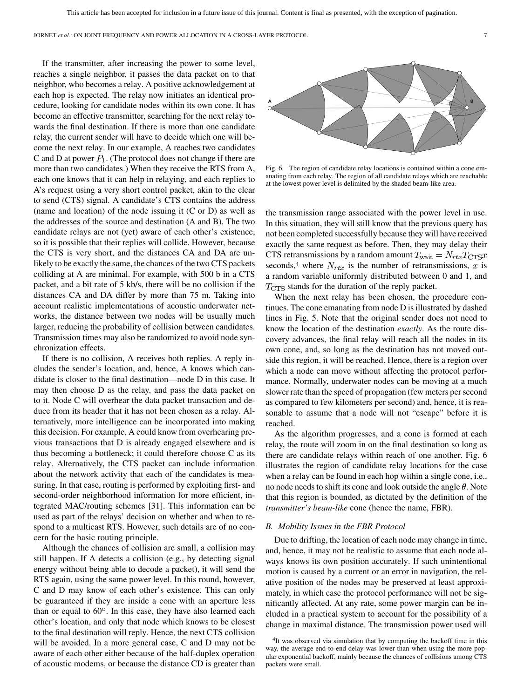If the transmitter, after increasing the power to some level, reaches a single neighbor, it passes the data packet on to that neighbor, who becomes a relay. A positive acknowledgement at each hop is expected. The relay now initiates an identical procedure, looking for candidate nodes within its own cone. It has become an effective transmitter, searching for the next relay towards the final destination. If there is more than one candidate relay, the current sender will have to decide which one will become the next relay. In our example, A reaches two candidates C and D at power  $P_1$ . (The protocol does not change if there are more than two candidates.) When they receive the RTS from A, each one knows that it can help in relaying, and each replies to A's request using a very short control packet, akin to the clear to send (CTS) signal. A candidate's CTS contains the address (name and location) of the node issuing it (C or D) as well as the addresses of the source and destination (A and B). The two candidate relays are not (yet) aware of each other's existence, so it is possible that their replies will collide. However, because the CTS is very short, and the distances CA and DA are unlikely to be exactly the same, the chances of the two CTS packets colliding at A are minimal. For example, with 500 b in a CTS packet, and a bit rate of 5 kb/s, there will be no collision if the distances CA and DA differ by more than 75 m. Taking into account realistic implementations of acoustic underwater networks, the distance between two nodes will be usually much larger, reducing the probability of collision between candidates. Transmission times may also be randomized to avoid node synchronization effects.

If there is no collision, A receives both replies. A reply includes the sender's location, and, hence, A knows which candidate is closer to the final destination—node D in this case. It may then choose D as the relay, and pass the data packet on to it. Node C will overhear the data packet transaction and deduce from its header that it has not been chosen as a relay. Alternatively, more intelligence can be incorporated into making this decision. For example, A could know from overhearing previous transactions that D is already engaged elsewhere and is thus becoming a bottleneck; it could therefore choose C as its relay. Alternatively, the CTS packet can include information about the network activity that each of the candidates is measuring. In that case, routing is performed by exploiting first- and second-order neighborhood information for more efficient, integrated MAC/routing schemes [31]. This information can be used as part of the relays' decision on whether and when to respond to a multicast RTS. However, such details are of no concern for the basic routing principle.

Although the chances of collision are small, a collision may still happen. If A detects a collision (e.g., by detecting signal energy without being able to decode a packet), it will send the RTS again, using the same power level. In this round, however, C and D may know of each other's existence. This can only be guaranteed if they are inside a cone with an aperture less than or equal to  $60^\circ$ . In this case, they have also learned each other's location, and only that node which knows to be closest to the final destination will reply. Hence, the next CTS collision will be avoided. In a more general case, C and D may not be aware of each other either because of the half-duplex operation of acoustic modems, or because the distance CD is greater than



Fig. 6. The region of candidate relay locations is contained within a cone emanating from each relay. The region of all candidate relays which are reachable at the lowest power level is delimited by the shaded beam-like area.

the transmission range associated with the power level in use. In this situation, they will still know that the previous query has not been completed successfully because they will have received exactly the same request as before. Then, they may delay their CTS retransmissions by a random amount  $T_{\text{wait}} = N_{rtx}T_{\text{CTS}}x$ seconds,<sup>4</sup> where  $N_{rtx}$  is the number of retransmissions, x is a random variable uniformly distributed between 0 and 1, and  $T<sub>CTS</sub>$  stands for the duration of the reply packet.

When the next relay has been chosen, the procedure continues. The cone emanating from node D is illustrated by dashed lines in Fig. 5. Note that the original sender does not need to know the location of the destination *exactly*. As the route discovery advances, the final relay will reach all the nodes in its own cone, and, so long as the destination has not moved outside this region, it will be reached. Hence, there is a region over which a node can move without affecting the protocol performance. Normally, underwater nodes can be moving at a much slower rate than the speed of propagation (few meters per second as compared to few kilometers per second) and, hence, it is reasonable to assume that a node will not "escape" before it is reached.

As the algorithm progresses, and a cone is formed at each relay, the route will zoom in on the final destination so long as there are candidate relays within reach of one another. Fig. 6 illustrates the region of candidate relay locations for the case when a relay can be found in each hop within a single cone, i.e., no node needs to shift its cone and look outside the angle  $\theta$ . Note that this region is bounded, as dictated by the definition of the *transmitter's beam-like* cone (hence the name, FBR).

## *B. Mobility Issues in the FBR Protocol*

Due to drifting, the location of each node may change in time, and, hence, it may not be realistic to assume that each node always knows its own position accurately. If such unintentional motion is caused by a current or an error in navigation, the relative position of the nodes may be preserved at least approximately, in which case the protocol performance will not be significantly affected. At any rate, some power margin can be included in a practical system to account for the possibility of a change in maximal distance. The transmission power used will

<sup>4</sup>It was observed via simulation that by computing the backoff time in this way, the average end-to-end delay was lower than when using the more popular exponential backoff, mainly because the chances of collisions among CTS packets were small.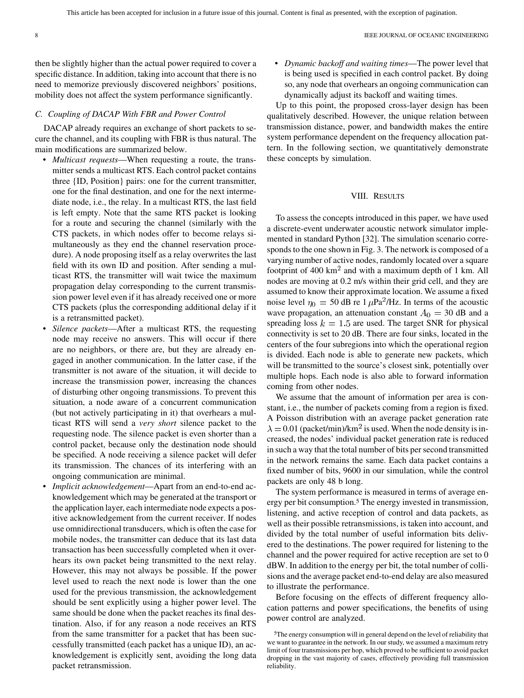then be slightly higher than the actual power required to cover a specific distance. In addition, taking into account that there is no need to memorize previously discovered neighbors' positions, mobility does not affect the system performance significantly.

# *C. Coupling of DACAP With FBR and Power Control*

DACAP already requires an exchange of short packets to secure the channel, and its coupling with FBR is thus natural. The main modifications are summarized below.

- *Multicast requests*—When requesting a route, the transmitter sends a multicast RTS. Each control packet contains three {ID, Position} pairs: one for the current transmitter, one for the final destination, and one for the next intermediate node, i.e., the relay. In a multicast RTS, the last field is left empty. Note that the same RTS packet is looking for a route and securing the channel (similarly with the CTS packets, in which nodes offer to become relays simultaneously as they end the channel reservation procedure). A node proposing itself as a relay overwrites the last field with its own ID and position. After sending a multicast RTS, the transmitter will wait twice the maximum propagation delay corresponding to the current transmission power level even if it has already received one or more CTS packets (plus the corresponding additional delay if it is a retransmitted packet).
- *Silence packets*—After a multicast RTS, the requesting node may receive no answers. This will occur if there are no neighbors, or there are, but they are already engaged in another communication. In the latter case, if the transmitter is not aware of the situation, it will decide to increase the transmission power, increasing the chances of disturbing other ongoing transmissions. To prevent this situation, a node aware of a concurrent communication (but not actively participating in it) that overhears a multicast RTS will send a *very short* silence packet to the requesting node. The silence packet is even shorter than a control packet, because only the destination node should be specified. A node receiving a silence packet will defer its transmission. The chances of its interfering with an ongoing communication are minimal.
- *Implicit acknowledgement*—Apart from an end-to-end acknowledgement which may be generated at the transport or the application layer, each intermediate node expects a positive acknowledgement from the current receiver. If nodes use omnidirectional transducers, which is often the case for mobile nodes, the transmitter can deduce that its last data transaction has been successfully completed when it overhears its own packet being transmitted to the next relay. However, this may not always be possible. If the power level used to reach the next node is lower than the one used for the previous transmission, the acknowledgement should be sent explicitly using a higher power level. The same should be done when the packet reaches its final destination. Also, if for any reason a node receives an RTS from the same transmitter for a packet that has been successfully transmitted (each packet has a unique ID), an acknowledgement is explicitly sent, avoiding the long data packet retransmission.

• *Dynamic backoff and waiting times*—The power level that is being used is specified in each control packet. By doing so, any node that overhears an ongoing communication can dynamically adjust its backoff and waiting times.

Up to this point, the proposed cross-layer design has been qualitatively described. However, the unique relation between transmission distance, power, and bandwidth makes the entire system performance dependent on the frequency allocation pattern. In the following section, we quantitatively demonstrate these concepts by simulation.

# VIII. RESULTS

To assess the concepts introduced in this paper, we have used a discrete-event underwater acoustic network simulator implemented in standard Python [32]. The simulation scenario corresponds to the one shown in Fig. 3. The network is composed of a varying number of active nodes, randomly located over a square footprint of 400 km<sup>2</sup> and with a maximum depth of 1 km. All nodes are moving at 0.2 m/s within their grid cell, and they are assumed to know their approximate location. We assume a fixed noise level  $\eta_0 = 50$  dB re 1  $\mu$ Pa<sup>2</sup>/Hz. In terms of the acoustic wave propagation, an attenuation constant  $A_0 = 30$  dB and a spreading loss  $k = 1.5$  are used. The target SNR for physical connectivity is set to 20 dB. There are four sinks, located in the centers of the four subregions into which the operational region is divided. Each node is able to generate new packets, which will be transmitted to the source's closest sink, potentially over multiple hops. Each node is also able to forward information coming from other nodes.

We assume that the amount of information per area is constant, i.e., the number of packets coming from a region is fixed. A Poisson distribution with an average packet generation rate  $\lambda = 0.01$  (packet/min)/km<sup>2</sup> is used. When the node density is increased, the nodes' individual packet generation rate is reduced in such a way that the total number of bits per second transmitted in the network remains the same. Each data packet contains a fixed number of bits, 9600 in our simulation, while the control packets are only 48 b long.

The system performance is measured in terms of average energy per bit consumption.<sup>5</sup> The energy invested in transmission, listening, and active reception of control and data packets, as well as their possible retransmissions, is taken into account, and divided by the total number of useful information bits delivered to the destinations. The power required for listening to the channel and the power required for active reception are set to 0 dBW. In addition to the energy per bit, the total number of collisions and the average packet end-to-end delay are also measured to illustrate the performance.

Before focusing on the effects of different frequency allocation patterns and power specifications, the benefits of using power control are analyzed.

<sup>5</sup>The energy consumption will in general depend on the level of reliability that we want to guarantee in the network. In our study, we assumed a maximum retry limit of four transmissions per hop, which proved to be sufficient to avoid packet dropping in the vast majority of cases, effectively providing full transmission reliability.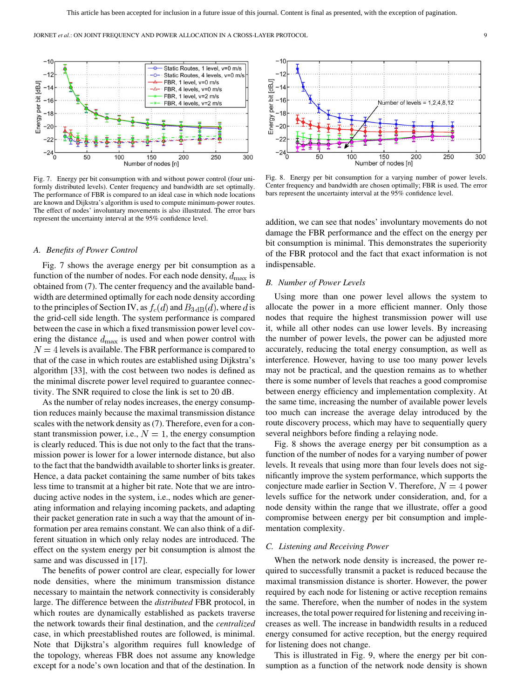JORNET *et al.*: ON JOINT FREQUENCY AND POWER ALLOCATION IN A CROSS-LAYER PROTOCOL 9



Fig. 7. Energy per bit consumption with and without power control (four uniformly distributed levels). Center frequency and bandwidth are set optimally. The performance of FBR is compared to an ideal case in which node locations are known and Dijkstra's algorithm is used to compute minimum-power routes. The effect of nodes' involuntary movements is also illustrated. The error bars represent the uncertainty interval at the 95% confidence level.

## *A. Benefits of Power Control*

Fig. 7 shows the average energy per bit consumption as a function of the number of nodes. For each node density,  $d_{\text{max}}$  is obtained from (7). The center frequency and the available bandwidth are determined optimally for each node density according to the principles of Section IV, as  $f_c(d)$  and  $B_{3 dB}(d)$ , where d is the grid-cell side length. The system performance is compared between the case in which a fixed transmission power level covering the distance  $d_{\text{max}}$  is used and when power control with  $N = 4$  levels is available. The FBR performance is compared to that of the case in which routes are established using Dijkstra's algorithm [33], with the cost between two nodes is defined as the minimal discrete power level required to guarantee connectivity. The SNR required to close the link is set to 20 dB.

As the number of relay nodes increases, the energy consumption reduces mainly because the maximal transmission distance scales with the network density as (7). Therefore, even for a constant transmission power, i.e.,  $N = 1$ , the energy consumption is clearly reduced. This is due not only to the fact that the transmission power is lower for a lower internode distance, but also to the fact that the bandwidth available to shorter links is greater. Hence, a data packet containing the same number of bits takes less time to transmit at a higher bit rate. Note that we are introducing active nodes in the system, i.e., nodes which are generating information and relaying incoming packets, and adapting their packet generation rate in such a way that the amount of information per area remains constant. We can also think of a different situation in which only relay nodes are introduced. The effect on the system energy per bit consumption is almost the same and was discussed in [17].

The benefits of power control are clear, especially for lower node densities, where the minimum transmission distance necessary to maintain the network connectivity is considerably large. The difference between the *distributed* FBR protocol, in which routes are dynamically established as packets traverse the network towards their final destination, and the *centralized* case, in which preestablished routes are followed, is minimal. Note that Dijkstra's algorithm requires full knowledge of the topology, whereas FBR does not assume any knowledge except for a node's own location and that of the destination. In



Fig. 8. Energy per bit consumption for a varying number of power levels. Center frequency and bandwidth are chosen optimally; FBR is used. The error bars represent the uncertainty interval at the 95% confidence level.

addition, we can see that nodes' involuntary movements do not damage the FBR performance and the effect on the energy per bit consumption is minimal. This demonstrates the superiority of the FBR protocol and the fact that exact information is not indispensable.

## *B. Number of Power Levels*

Using more than one power level allows the system to allocate the power in a more efficient manner. Only those nodes that require the highest transmission power will use it, while all other nodes can use lower levels. By increasing the number of power levels, the power can be adjusted more accurately, reducing the total energy consumption, as well as interference. However, having to use too many power levels may not be practical, and the question remains as to whether there is some number of levels that reaches a good compromise between energy efficiency and implementation complexity. At the same time, increasing the number of available power levels too much can increase the average delay introduced by the route discovery process, which may have to sequentially query several neighbors before finding a relaying node.

Fig. 8 shows the average energy per bit consumption as a function of the number of nodes for a varying number of power levels. It reveals that using more than four levels does not significantly improve the system performance, which supports the conjecture made earlier in Section V. Therefore,  $N = 4$  power levels suffice for the network under consideration, and, for a node density within the range that we illustrate, offer a good compromise between energy per bit consumption and implementation complexity.

# *C. Listening and Receiving Power*

When the network node density is increased, the power required to successfully transmit a packet is reduced because the maximal transmission distance is shorter. However, the power required by each node for listening or active reception remains the same. Therefore, when the number of nodes in the system increases, the total power required for listening and receiving increases as well. The increase in bandwidth results in a reduced energy consumed for active reception, but the energy required for listening does not change.

This is illustrated in Fig. 9, where the energy per bit consumption as a function of the network node density is shown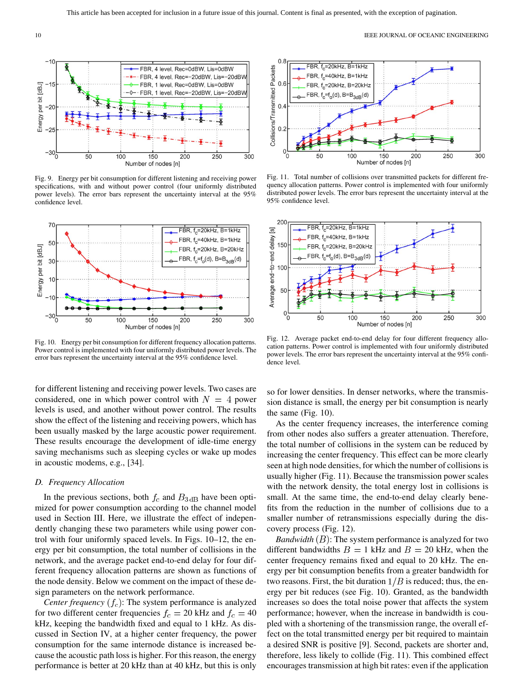



Fig. 9. Energy per bit consumption for different listening and receiving power specifications, with and without power control (four uniformly distributed power levels). The error bars represent the uncertainty interval at the 95% confidence level.



Fig. 10. Energy per bit consumption for different frequency allocation patterns. Power control is implemented with four uniformly distributed power levels. The error bars represent the uncertainty interval at the 95% confidence level.

for different listening and receiving power levels. Two cases are considered, one in which power control with  $N = 4$  power levels is used, and another without power control. The results show the effect of the listening and receiving powers, which has been usually masked by the large acoustic power requirement. These results encourage the development of idle-time energy saving mechanisms such as sleeping cycles or wake up modes in acoustic modems, e.g., [34].

#### *D. Frequency Allocation*

In the previous sections, both  $f_c$  and  $B_{3dB}$  have been optimized for power consumption according to the channel model used in Section III. Here, we illustrate the effect of independently changing these two parameters while using power control with four uniformly spaced levels. In Figs. 10–12, the energy per bit consumption, the total number of collisions in the network, and the average packet end-to-end delay for four different frequency allocation patterns are shown as functions of the node density. Below we comment on the impact of these design parameters on the network performance.

*Center frequency*  $(f_c)$ : The system performance is analyzed for two different center frequencies  $f_c = 20$  kHz and  $f_c = 40$ kHz, keeping the bandwidth fixed and equal to 1 kHz. As discussed in Section IV, at a higher center frequency, the power consumption for the same internode distance is increased because the acoustic path loss is higher. For this reason, the energy performance is better at 20 kHz than at 40 kHz, but this is only



Fig. 11. Total number of collisions over transmitted packets for different frequency allocation patterns. Power control is implemented with four uniformly distributed power levels. The error bars represent the uncertainty interval at the 95% confidence level.



Fig. 12. Average packet end-to-end delay for four different frequency allocation patterns. Power control is implemented with four uniformly distributed power levels. The error bars represent the uncertainty interval at the 95% confidence level.

so for lower densities. In denser networks, where the transmission distance is small, the energy per bit consumption is nearly the same (Fig. 10).

As the center frequency increases, the interference coming from other nodes also suffers a greater attenuation. Therefore, the total number of collisions in the system can be reduced by increasing the center frequency. This effect can be more clearly seen at high node densities, for which the number of collisions is usually higher (Fig. 11). Because the transmission power scales with the network density, the total energy lost in collisions is small. At the same time, the end-to-end delay clearly benefits from the reduction in the number of collisions due to a smaller number of retransmissions especially during the discovery process (Fig. 12).

*Bandwidth*  $(B)$ : The system performance is analyzed for two different bandwidths  $B = 1$  kHz and  $B = 20$  kHz, when the center frequency remains fixed and equal to 20 kHz. The energy per bit consumption benefits from a greater bandwidth for two reasons. First, the bit duration  $1/B$  is reduced; thus, the energy per bit reduces (see Fig. 10). Granted, as the bandwidth increases so does the total noise power that affects the system performance; however, when the increase in bandwidth is coupled with a shortening of the transmission range, the overall effect on the total transmitted energy per bit required to maintain a desired SNR is positive [9]. Second, packets are shorter and, therefore, less likely to collide (Fig. 11). This combined effect encourages transmission at high bit rates: even if the application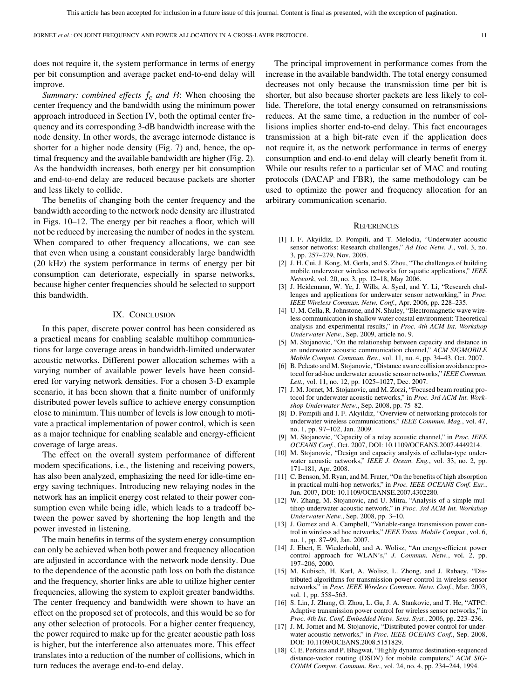does not require it, the system performance in terms of energy per bit consumption and average packet end-to-end delay will improve.

*Summary: combined effects*  $f_c$  *and*  $B$ : When choosing the center frequency and the bandwidth using the minimum power approach introduced in Section IV, both the optimal center frequency and its corresponding 3-dB bandwidth increase with the node density. In other words, the average internode distance is shorter for a higher node density (Fig. 7) and, hence, the optimal frequency and the available bandwidth are higher (Fig. 2). As the bandwidth increases, both energy per bit consumption and end-to-end delay are reduced because packets are shorter and less likely to collide.

The benefits of changing both the center frequency and the bandwidth according to the network node density are illustrated in Figs. 10–12. The energy per bit reaches a floor, which will not be reduced by increasing the number of nodes in the system. When compared to other frequency allocations, we can see that even when using a constant considerably large bandwidth (20 kHz) the system performance in terms of energy per bit consumption can deteriorate, especially in sparse networks, because higher center frequencies should be selected to support this bandwidth.

# IX. CONCLUSION

In this paper, discrete power control has been considered as a practical means for enabling scalable multihop communications for large coverage areas in bandwidth-limited underwater acoustic networks. Different power allocation schemes with a varying number of available power levels have been considered for varying network densities. For a chosen 3-D example scenario, it has been shown that a finite number of uniformly distributed power levels suffice to achieve energy consumption close to minimum. This number of levels is low enough to motivate a practical implementation of power control, which is seen as a major technique for enabling scalable and energy-efficient coverage of large areas.

The effect on the overall system performance of different modem specifications, i.e., the listening and receiving powers, has also been analyzed, emphasizing the need for idle-time energy saving techniques. Introducing new relaying nodes in the network has an implicit energy cost related to their power consumption even while being idle, which leads to a tradeoff between the power saved by shortening the hop length and the power invested in listening.

The main benefits in terms of the system energy consumption can only be achieved when both power and frequency allocation are adjusted in accordance with the network node density. Due to the dependence of the acoustic path loss on both the distance and the frequency, shorter links are able to utilize higher center frequencies, allowing the system to exploit greater bandwidths. The center frequency and bandwidth were shown to have an effect on the proposed set of protocols, and this would be so for any other selection of protocols. For a higher center frequency, the power required to make up for the greater acoustic path loss is higher, but the interference also attenuates more. This effect translates into a reduction of the number of collisions, which in turn reduces the average end-to-end delay.

The principal improvement in performance comes from the increase in the available bandwidth. The total energy consumed decreases not only because the transmission time per bit is shorter, but also because shorter packets are less likely to collide. Therefore, the total energy consumed on retransmissions reduces. At the same time, a reduction in the number of collisions implies shorter end-to-end delay. This fact encourages transmission at a high bit-rate even if the application does not require it, as the network performance in terms of energy consumption and end-to-end delay will clearly benefit from it. While our results refer to a particular set of MAC and routing protocols (DACAP and FBR), the same methodology can be used to optimize the power and frequency allocation for an arbitrary communication scenario.

#### **REFERENCES**

- [1] I. F. Akyildiz, D. Pompili, and T. Melodia, "Underwater acoustic sensor networks: Research challenges," *Ad Hoc Netw. J.*, vol. 3, no. 3, pp. 257–279, Nov. 2005.
- [2] J. H. Cui, J. Kong, M. Gerla, and S. Zhou, "The challenges of building mobile underwater wireless networks for aquatic applications," *IEEE Network*, vol. 20, no. 3, pp. 12–18, May 2006.
- [3] J. Heidemann, W. Ye, J. Wills, A. Syed, and Y. Li, "Research challenges and applications for underwater sensor networking," in *Proc. IEEE Wireless Commun. Netw. Conf.*, Apr. 2006, pp. 228–235.
- [4] U. M. Cella, R. Johnstone, and N. Shuley, "Electromagnetic wave wireless communication in shallow water coastal environment: Theoretical analysis and experimental results," in *Proc. 4th ACM Int. Workshop Underwater Netw.*, Sep. 2009, article no. 9.
- [5] M. Stojanovic, "On the relationship between capacity and distance in an underwater acoustic communication channel," *ACM SIGMOBILE Mobile Comput. Commun. Rev.*, vol. 11, no. 4, pp. 34–43, Oct. 2007.
- [6] B. Peleato and M. Stojanovic, "Distance aware collision avoidance protocol for ad-hoc underwater acoustic sensor networks," *IEEE Commun. Lett.*, vol. 11, no. 12, pp. 1025–1027, Dec. 2007.
- [7] J. M. Jornet, M. Stojanovic, and M. Zorzi, "Focused beam routing protocol for underwater acoustic networks," in *Proc. 3rd ACM Int. Workshop Underwater Netw.*, Sep. 2008, pp. 75–82.
- [8] D. Pompili and I. F. Akyildiz, "Overview of networking protocols for underwater wireless communications," *IEEE Commun. Mag.*, vol. 47, no. 1, pp. 97–102, Jan. 2009.
- [9] M. Stojanovic, "Capacity of a relay acoustic channel," in *Proc. IEEE OCEANS Conf.*, Oct. 2007, DOI: 10.1109/OCEANS.2007.4449214.
- [10] M. Stojanovic, "Design and capacity analysis of cellular-type underwater acoustic networks," *IEEE J. Ocean. Eng.*, vol. 33, no. 2, pp. 171–181, Apr. 2008.
- [11] C. Benson, M. Ryan, and M. Frater, "On the benefits of high absorption in practical multi-hop networks," in *Proc. IEEE OCEANS Conf. Eur.*, Jun. 2007, DOI: 10.1109/OCEANSE.2007.4302280.
- [12] W. Zhang, M. Stojanovic, and U. Mitra, "Analysis of a simple multihop underwater acoustic network," in *Proc. 3rd ACM Int. Workshop Underwater Netw.*, Sep. 2008, pp. 3–10.
- [13] J. Gomez and A. Campbell, "Variable-range transmission power control in wireless ad hoc networks," *IEEE Trans. Mobile Comput.*, vol. 6, no. 1, pp. 87–99, Jan. 2007.
- [14] J. Ebert, E. Wiederhold, and A. Wolisz, "An energy-efficient power control approach for WLAN's," *J. Commun. Netw.*, vol. 2, pp. 197–206, 2000.
- [15] M. Kubisch, H. Karl, A. Wolisz, L. Zhong, and J. Rabaey, "Distributed algorithms for transmission power control in wireless sensor networks," in *Proc. IEEE Wireless Commun. Netw. Conf.*, Mar. 2003, vol. 1, pp. 558–563.
- [16] S. Lin, J. Zhang, G. Zhou, L. Gu, J. A. Stankovic, and T. He, "ATPC: Adaptive transmission power control for wireless sensor networks," in *Proc. 4th Int. Conf. Embedded Netw. Sens. Syst.*, 2006, pp. 223–236.
- [17] J. M. Jornet and M. Stojanovic, "Distributed power control for underwater acoustic networks," in *Proc. IEEE OCEANS Conf.*, Sep. 2008, DOI: 10.1109/OCEANS.2008.5151829.
- [18] C. E. Perkins and P. Bhagwat, "Highly dynamic destination-sequenced distance-vector routing (DSDV) for mobile computers," *ACM SIG-COMM Comput. Commun. Rev.*, vol. 24, no. 4, pp. 234–244, 1994.